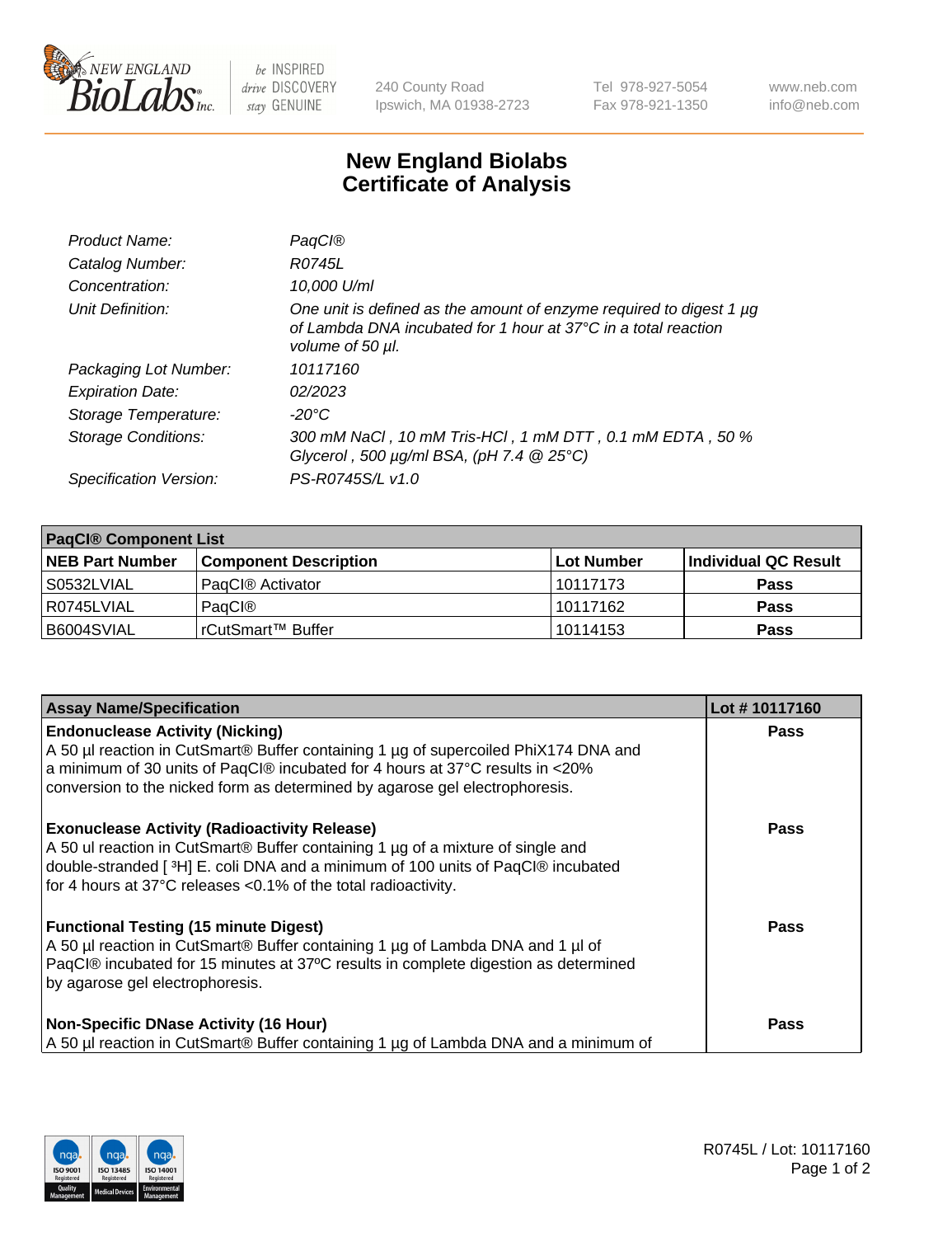

 $be$  INSPIRED drive DISCOVERY stay GENUINE

240 County Road Ipswich, MA 01938-2723 Tel 978-927-5054 Fax 978-921-1350 www.neb.com info@neb.com

## **New England Biolabs Certificate of Analysis**

| Product Name:              | <b>PagCI®</b>                                                                                                                                                       |
|----------------------------|---------------------------------------------------------------------------------------------------------------------------------------------------------------------|
| Catalog Number:            | R0745L                                                                                                                                                              |
| Concentration:             | 10.000 U/ml                                                                                                                                                         |
| Unit Definition:           | One unit is defined as the amount of enzyme required to digest 1 µg<br>of Lambda DNA incubated for 1 hour at $37^{\circ}$ C in a total reaction<br>volume of 50 µl. |
| Packaging Lot Number:      | 10117160                                                                                                                                                            |
| <b>Expiration Date:</b>    | 02/2023                                                                                                                                                             |
| Storage Temperature:       | -20°C                                                                                                                                                               |
| <b>Storage Conditions:</b> | 300 mM NaCl , 10 mM Tris-HCl , 1 mM DTT , 0.1 mM EDTA , 50 %<br>Glycerol, 500 $\mu$ g/ml BSA, (pH 7.4 $@25°C$ )                                                     |
| Specification Version:     | PS-R0745S/L v1.0                                                                                                                                                    |

| <b>PaqCI® Component List</b> |                              |                   |                      |  |  |
|------------------------------|------------------------------|-------------------|----------------------|--|--|
| <b>NEB Part Number</b>       | <b>Component Description</b> | <b>Lot Number</b> | Individual QC Result |  |  |
| S0532LVIAL                   | PagCl® Activator             | 10117173          | <b>Pass</b>          |  |  |
| R0745LVIAL                   | PagCl®                       | 10117162          | <b>Pass</b>          |  |  |
| B6004SVIAL                   | l rCutSmart™ Buffer          | 10114153          | <b>Pass</b>          |  |  |

| <b>Assay Name/Specification</b>                                                                                                                                                                                                                                                               | Lot #10117160 |
|-----------------------------------------------------------------------------------------------------------------------------------------------------------------------------------------------------------------------------------------------------------------------------------------------|---------------|
| <b>Endonuclease Activity (Nicking)</b><br>A 50 µl reaction in CutSmart® Buffer containing 1 µg of supercoiled PhiX174 DNA and<br>a minimum of 30 units of PaqCl® incubated for 4 hours at 37°C results in <20%<br>conversion to the nicked form as determined by agarose gel electrophoresis. | <b>Pass</b>   |
| <b>Exonuclease Activity (Radioactivity Release)</b><br>A 50 ul reaction in CutSmart® Buffer containing 1 µg of a mixture of single and<br>double-stranded [3H] E. coli DNA and a minimum of 100 units of PaqCl® incubated<br>for 4 hours at 37°C releases <0.1% of the total radioactivity.   | <b>Pass</b>   |
| <b>Functional Testing (15 minute Digest)</b><br>A 50 µl reaction in CutSmart® Buffer containing 1 µg of Lambda DNA and 1 µl of<br>PaqCl® incubated for 15 minutes at 37°C results in complete digestion as determined<br>by agarose gel electrophoresis.                                      | <b>Pass</b>   |
| <b>Non-Specific DNase Activity (16 Hour)</b><br>A 50 µl reaction in CutSmart® Buffer containing 1 µg of Lambda DNA and a minimum of                                                                                                                                                           | Pass          |